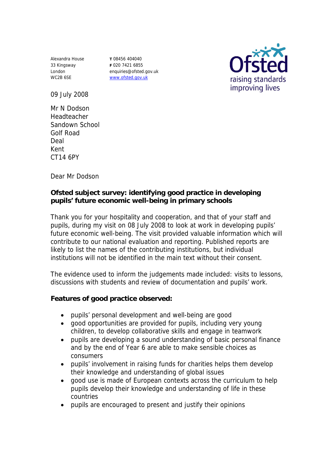Alexandra House 33 Kingsway London WC2B 6SE

**T** 08456 404040 **F** 020 7421 6855 enquiries@ofsted.gov.uk www.ofsted.gov.uk



09 July 2008

Mr N Dodson Headteacher Sandown School Golf Road Deal Kent CT14 6PY

Dear Mr Dodson

**Ofsted subject survey: identifying good practice in developing pupils' future economic well-being in primary schools**

Thank you for your hospitality and cooperation, and that of your staff and pupils, during my visit on 08 July 2008 to look at work in developing pupils' future economic well-being. The visit provided valuable information which will contribute to our national evaluation and reporting. Published reports are likely to list the names of the contributing institutions, but individual institutions will not be identified in the main text without their consent.

The evidence used to inform the judgements made included: visits to lessons, discussions with students and review of documentation and pupils' work.

**Features of good practice observed:**

- pupils' personal development and well-being are good
- good opportunities are provided for pupils, including very young children, to develop collaborative skills and engage in teamwork
- pupils are developing a sound understanding of basic personal finance and by the end of Year 6 are able to make sensible choices as consumers
- pupils' involvement in raising funds for charities helps them develop their knowledge and understanding of global issues
- good use is made of European contexts across the curriculum to help pupils develop their knowledge and understanding of life in these countries
- pupils are encouraged to present and justify their opinions